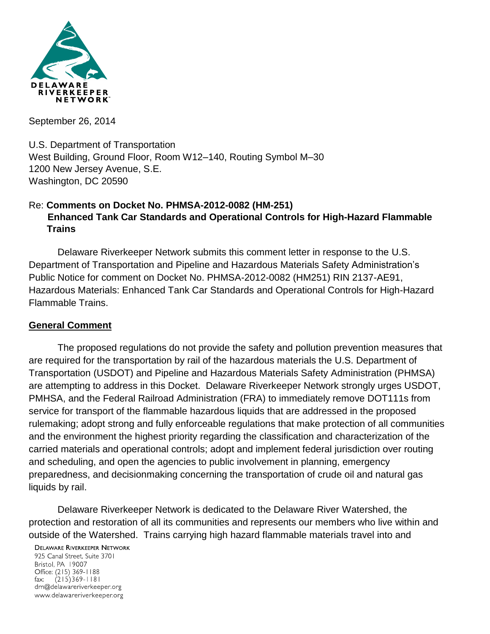

September 26, 2014

U.S. Department of Transportation West Building, Ground Floor, Room W12–140, Routing Symbol M–30 1200 New Jersey Avenue, S.E. Washington, DC 20590

# Re: **Comments on Docket No. PHMSA-2012-0082 (HM-251) Enhanced Tank Car Standards and Operational Controls for High-Hazard Flammable Trains**

Delaware Riverkeeper Network submits this comment letter in response to the U.S. Department of Transportation and Pipeline and Hazardous Materials Safety Administration's Public Notice for comment on Docket No. PHMSA-2012-0082 (HM251) RIN 2137-AE91, Hazardous Materials: Enhanced Tank Car Standards and Operational Controls for High-Hazard Flammable Trains.

### **General Comment**

The proposed regulations do not provide the safety and pollution prevention measures that are required for the transportation by rail of the hazardous materials the U.S. Department of Transportation (USDOT) and Pipeline and Hazardous Materials Safety Administration (PHMSA) are attempting to address in this Docket. Delaware Riverkeeper Network strongly urges USDOT, PMHSA, and the Federal Railroad Administration (FRA) to immediately remove DOT111s from service for transport of the flammable hazardous liquids that are addressed in the proposed rulemaking; adopt strong and fully enforceable regulations that make protection of all communities and the environment the highest priority regarding the classification and characterization of the carried materials and operational controls; adopt and implement federal jurisdiction over routing and scheduling, and open the agencies to public involvement in planning, emergency preparedness, and decisionmaking concerning the transportation of crude oil and natural gas liquids by rail.

Delaware Riverkeeper Network is dedicated to the Delaware River Watershed, the protection and restoration of all its communities and represents our members who live within and outside of the Watershed. Trains carrying high hazard flammable materials travel into and

**DELAWARE RIVERKEEPER NETWORK** 

925 Canal Street, Suite 3701 Bristol, PA 19007 Office: (215) 369-1188  $(215)369 - 1181$ fax: drn@delawareriverkeeper.org www.delawareriverkeeper.org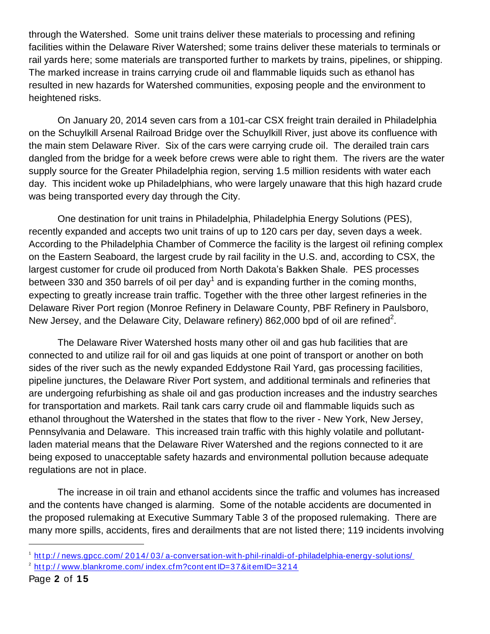through the Watershed. Some unit trains deliver these materials to processing and refining facilities within the Delaware River Watershed; some trains deliver these materials to terminals or rail yards here; some materials are transported further to markets by trains, pipelines, or shipping. The marked increase in trains carrying crude oil and flammable liquids such as ethanol has resulted in new hazards for Watershed communities, exposing people and the environment to heightened risks.

On January 20, 2014 seven cars from a 101-car CSX freight train derailed in Philadelphia on the Schuylkill Arsenal Railroad Bridge over the Schuylkill River, just above its confluence with the main stem Delaware River. Six of the cars were carrying crude oil. The derailed train cars dangled from the bridge for a week before crews were able to right them. The rivers are the water supply source for the Greater Philadelphia region, serving 1.5 million residents with water each day. This incident woke up Philadelphians, who were largely unaware that this high hazard crude was being transported every day through the City.

One destination for unit trains in Philadelphia, Philadelphia Energy Solutions (PES), recently expanded and accepts two unit trains of up to 120 cars per day, seven days a week. According to the Philadelphia Chamber of Commerce the facility is the largest oil refining complex on the Eastern Seaboard, the largest crude by rail facility in the U.S. and, according to CSX, the largest customer for crude oil produced from North Dakota's Bakken Shale. PES processes between 330 and 350 barrels of oil per day<sup>1</sup> and is expanding further in the coming months, expecting to greatly increase train traffic. Together with the three other largest refineries in the Delaware River Port region (Monroe Refinery in Delaware County, PBF Refinery in Paulsboro, New Jersey, and the Delaware City, Delaware refinery) 862,000 bpd of oil are refined<sup>2</sup>.

The Delaware River Watershed hosts many other oil and gas hub facilities that are connected to and utilize rail for oil and gas liquids at one point of transport or another on both sides of the river such as the newly expanded Eddystone Rail Yard, gas processing facilities, pipeline junctures, the Delaware River Port system, and additional terminals and refineries that are undergoing refurbishing as shale oil and gas production increases and the industry searches for transportation and markets. Rail tank cars carry crude oil and flammable liquids such as ethanol throughout the Watershed in the states that flow to the river - New York, New Jersey, Pennsylvania and Delaware. This increased train traffic with this highly volatile and pollutantladen material means that the Delaware River Watershed and the regions connected to it are being exposed to unacceptable safety hazards and environmental pollution because adequate regulations are not in place.

The increase in oil train and ethanol accidents since the traffic and volumes has increased and the contents have changed is alarming. Some of the notable accidents are documented in the proposed rulemaking at Executive Summary Table 3 of the proposed rulemaking. There are many more spills, accidents, fires and derailments that are not listed there; 119 incidents involving

<sup>2</sup> http://www.blankrome.com/index.cfm?contentID=37&itemID=3214

<sup>1</sup> http://news.gpcc.com/2014/03/a-conversation-with-phil-rinaldi-of-philadelphia-energy-solutions/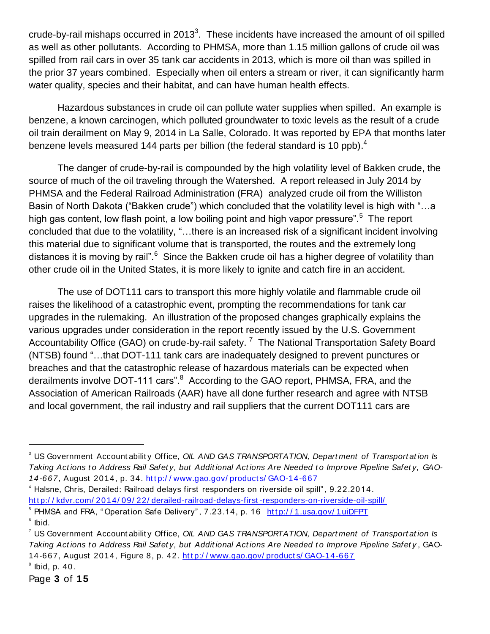crude-by-rail mishaps occurred in 2013<sup>3</sup>. These incidents have increased the amount of oil spilled as well as other pollutants. According to PHMSA, more than 1.15 million gallons of crude oil was spilled from rail cars in over 35 tank car accidents in 2013, which is more oil than was spilled in the prior 37 years combined. Especially when oil enters a stream or river, it can significantly harm water quality, species and their habitat, and can have human health effects.

Hazardous substances in crude oil can pollute water supplies when spilled. An example is benzene, a known carcinogen, which polluted groundwater to toxic levels as the result of a crude oil train derailment on May 9, 2014 in La Salle, Colorado. It was reported by EPA that months later benzene levels measured 144 parts per billion (the federal standard is 10 ppb).<sup>4</sup>

The danger of crude-by-rail is compounded by the high volatility level of Bakken crude, the source of much of the oil traveling through the Watershed. A report released in July 2014 by PHMSA and the Federal Railroad Administration (FRA) analyzed crude oil from the Williston Basin of North Dakota ("Bakken crude") which concluded that the volatility level is high with "…a high gas content, low flash point, a low boiling point and high vapor pressure".<sup>5</sup> The report concluded that due to the volatility, "…there is an increased risk of a significant incident involving this material due to significant volume that is transported, the routes and the extremely long distances it is moving by rail".<sup>6</sup> Since the Bakken crude oil has a higher degree of volatility than other crude oil in the United States, it is more likely to ignite and catch fire in an accident.

The use of DOT111 cars to transport this more highly volatile and flammable crude oil raises the likelihood of a catastrophic event, prompting the recommendations for tank car upgrades in the rulemaking. An illustration of the proposed changes graphically explains the various upgrades under consideration in the report recently issued by the U.S. Government Accountability Office (GAO) on crude-by-rail safety.<sup>7</sup> The National Transportation Safety Board (NTSB) found "…that DOT-111 tank cars are inadequately designed to prevent punctures or breaches and that the catastrophic release of hazardous materials can be expected when derailments involve DOT-111 cars".<sup>8</sup> According to the GAO report, PHMSA, FRA, and the Association of American Railroads (AAR) have all done further research and agree with NTSB and local government, the rail industry and rail suppliers that the current DOT111 cars are

<sup>&</sup>lt;sup>3</sup> US Government Account ability Office, *OIL AND GAS TRANSPORTATION, Depart ment of Transport at ion Is* Taking Actions to Address Rail Safety, but Additional Actions Are Needed to Improve Pipeline Safety, GAO-14-667, August 2014, p. 34. http://www.gao.gov/products/GAO-14-667

<sup>4</sup> Halsne, Chris, Derailed: Railroad delays first responders on riverside oil spill" , 9.22.2014. http://kdvr.com/2014/09/22/derailed-railroad-delays-first-responders-on-riverside-oil-spill/

<sup>&</sup>lt;sup>5</sup> PHMSA and FRA, "Operation Safe Delivery", 7.23.14, p. 16 http://1.usa.gov/1uiDFPT  $6$  lbid.

<sup>7</sup> US Government Account abilit y Office, *OIL AND GAS TRANSPORTATION, Depart ment of Transport at ion Is Taking Act ions t o Address Rail Safet y, but Addit ional Act ions Are Needed t o Improve Pipeline Safet y* , GAO-14-667, August 2014, Figure 8, p. 42. http://www.gao.gov/products/GAO-14-667

 $\degree$  lbid, p. 40.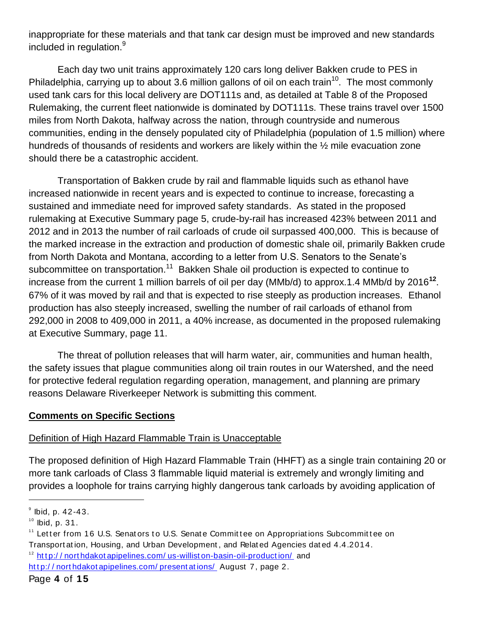inappropriate for these materials and that tank car design must be improved and new standards included in regulation.<sup>9</sup>

Each day two unit trains approximately 120 cars long deliver Bakken crude to PES in Philadelphia, carrying up to about 3.6 million gallons of oil on each train<sup>10</sup>. The most commonly used tank cars for this local delivery are DOT111s and, as detailed at Table 8 of the Proposed Rulemaking, the current fleet nationwide is dominated by DOT111s. These trains travel over 1500 miles from North Dakota, halfway across the nation, through countryside and numerous communities, ending in the densely populated city of Philadelphia (population of 1.5 million) where hundreds of thousands of residents and workers are likely within the  $\frac{1}{2}$  mile evacuation zone should there be a catastrophic accident.

Transportation of Bakken crude by rail and flammable liquids such as ethanol have increased nationwide in recent years and is expected to continue to increase, forecasting a sustained and immediate need for improved safety standards. As stated in the proposed rulemaking at Executive Summary page 5, crude-by-rail has increased 423% between 2011 and 2012 and in 2013 the number of rail carloads of crude oil surpassed 400,000. This is because of the marked increase in the extraction and production of domestic shale oil, primarily Bakken crude from North Dakota and Montana, according to a letter from U.S. Senators to the Senate's subcommittee on transportation.<sup>11</sup> Bakken Shale oil production is expected to continue to increase from the current 1 million barrels of oil per day (MMb/d) to approx.1.4 MMb/d by 2016**<sup>12</sup>** . 67% of it was moved by rail and that is expected to rise steeply as production increases. Ethanol production has also steeply increased, swelling the number of rail carloads of ethanol from 292,000 in 2008 to 409,000 in 2011, a 40% increase, as documented in the proposed rulemaking at Executive Summary, page 11.

The threat of pollution releases that will harm water, air, communities and human health, the safety issues that plague communities along oil train routes in our Watershed, and the need for protective federal regulation regarding operation, management, and planning are primary reasons Delaware Riverkeeper Network is submitting this comment.

### **Comments on Specific Sections**

### Definition of High Hazard Flammable Train is Unacceptable

The proposed definition of High Hazard Flammable Train (HHFT) as a single train containing 20 or more tank carloads of Class 3 flammable liquid material is extremely and wrongly limiting and provides a loophole for trains carrying highly dangerous tank carloads by avoiding application of

 $^{\circ}$  Ibid, p. 42-43.

 $10$  Ibid, p. 31.

<sup>&</sup>lt;sup>11</sup> Letter from 16 U.S. Senators to U.S. Senate Committee on Appropriations Subcommittee on Transport at ion, Housing, and Urban Development , and Relat ed Agencies dat ed 4.4.2014.  $12$  http://northdakot apipelines.com/us-willist on-basin-oil-production/and

http://northdakotapipelines.com/presentations/ August 7, page 2.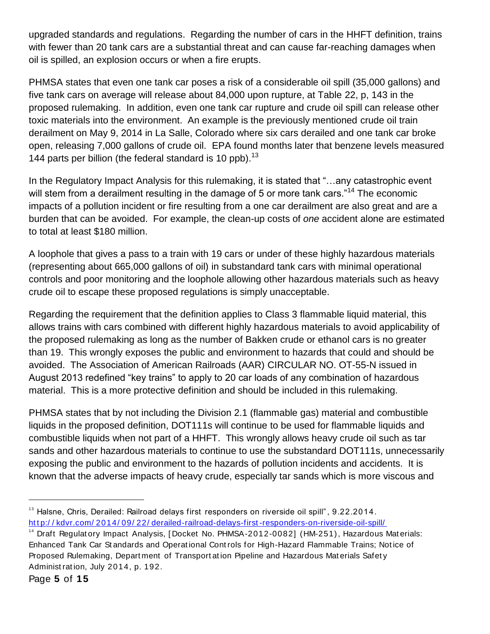upgraded standards and regulations. Regarding the number of cars in the HHFT definition, trains with fewer than 20 tank cars are a substantial threat and can cause far-reaching damages when oil is spilled, an explosion occurs or when a fire erupts.

PHMSA states that even one tank car poses a risk of a considerable oil spill (35,000 gallons) and five tank cars on average will release about 84,000 upon rupture, at Table 22, p, 143 in the proposed rulemaking. In addition, even one tank car rupture and crude oil spill can release other toxic materials into the environment. An example is the previously mentioned crude oil train derailment on May 9, 2014 in La Salle, Colorado where six cars derailed and one tank car broke open, releasing 7,000 gallons of crude oil. EPA found months later that benzene levels measured 144 parts per billion (the federal standard is 10 ppb).<sup>13</sup>

In the Regulatory Impact Analysis for this rulemaking, it is stated that "…any catastrophic event will stem from a derailment resulting in the damage of 5 or more tank cars."<sup>14</sup> The economic impacts of a pollution incident or fire resulting from a one car derailment are also great and are a burden that can be avoided. For example, the clean-up costs of *one* accident alone are estimated to total at least \$180 million.

A loophole that gives a pass to a train with 19 cars or under of these highly hazardous materials (representing about 665,000 gallons of oil) in substandard tank cars with minimal operational controls and poor monitoring and the loophole allowing other hazardous materials such as heavy crude oil to escape these proposed regulations is simply unacceptable.

Regarding the requirement that the definition applies to Class 3 flammable liquid material, this allows trains with cars combined with different highly hazardous materials to avoid applicability of the proposed rulemaking as long as the number of Bakken crude or ethanol cars is no greater than 19. This wrongly exposes the public and environment to hazards that could and should be avoided. The Association of American Railroads (AAR) CIRCULAR NO. OT-55-N issued in August 2013 redefined "key trains" to apply to 20 car loads of any combination of hazardous material. This is a more protective definition and should be included in this rulemaking.

PHMSA states that by not including the Division 2.1 (flammable gas) material and combustible liquids in the proposed definition, DOT111s will continue to be used for flammable liquids and combustible liquids when not part of a HHFT. This wrongly allows heavy crude oil such as tar sands and other hazardous materials to continue to use the substandard DOT111s, unnecessarily exposing the public and environment to the hazards of pollution incidents and accidents. It is known that the adverse impacts of heavy crude, especially tar sands which is more viscous and

<sup>&</sup>lt;sup>13</sup> Halsne, Chris, Derailed: Railroad delays first responders on riverside oil spill", 9.22.2014. http://kdvr.com/2014/09/22/derailed-railroad-delays-first-responders-on-riverside-oil-spill/

<sup>&</sup>lt;sup>14</sup> Draft Regulat ory Impact Analysis, [Docket No. PHMSA-2012-0082] (HM-251), Hazardous Materials: Enhanced Tank Car St andards and Operat ional Cont rols for High-Hazard Flammable Trains; Not ice of Proposed Rulemaking, Depart ment of Transport at ion Pipeline and Hazardous Mat erials Safet y Administ rat ion, July 2014, p. 192.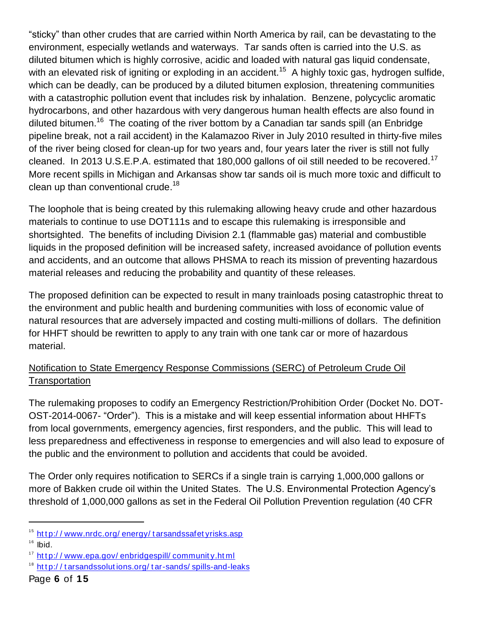"sticky" than other crudes that are carried within North America by rail, can be devastating to the environment, especially wetlands and waterways. Tar sands often is carried into the U.S. as diluted bitumen which is highly corrosive, acidic and loaded with natural gas liquid condensate, with an elevated risk of igniting or exploding in an accident.<sup>15</sup> A highly toxic gas, hydrogen sulfide, which can be deadly, can be produced by a diluted bitumen explosion, threatening communities with a catastrophic pollution event that includes risk by inhalation. Benzene, polycyclic aromatic hydrocarbons, and other hazardous with very dangerous human health effects are also found in diluted bitumen.<sup>16</sup> The coating of the river bottom by a Canadian tar sands spill (an Enbridge pipeline break, not a rail accident) in the Kalamazoo River in July 2010 resulted in thirty-five miles of the river being closed for clean-up for two years and, four years later the river is still not fully cleaned. In 2013 U.S.E.P.A. estimated that 180,000 gallons of oil still needed to be recovered.<sup>17</sup> More recent spills in Michigan and Arkansas show tar sands oil is much more toxic and difficult to clean up than conventional crude.<sup>18</sup>

The loophole that is being created by this rulemaking allowing heavy crude and other hazardous materials to continue to use DOT111s and to escape this rulemaking is irresponsible and shortsighted. The benefits of including Division 2.1 (flammable gas) material and combustible liquids in the proposed definition will be increased safety, increased avoidance of pollution events and accidents, and an outcome that allows PHSMA to reach its mission of preventing hazardous material releases and reducing the probability and quantity of these releases.

The proposed definition can be expected to result in many trainloads posing catastrophic threat to the environment and public health and burdening communities with loss of economic value of natural resources that are adversely impacted and costing multi-millions of dollars. The definition for HHFT should be rewritten to apply to any train with one tank car or more of hazardous material.

# Notification to State Emergency Response Commissions (SERC) of Petroleum Crude Oil **Transportation**

The rulemaking proposes to codify an Emergency Restriction/Prohibition Order (Docket No. DOT-OST-2014-0067- "Order"). This is a mistake and will keep essential information about HHFTs from local governments, emergency agencies, first responders, and the public. This will lead to less preparedness and effectiveness in response to emergencies and will also lead to exposure of the public and the environment to pollution and accidents that could be avoided.

The Order only requires notification to SERCs if a single train is carrying 1,000,000 gallons or more of Bakken crude oil within the United States. The U.S. Environmental Protection Agency's threshold of 1,000,000 gallons as set in the Federal Oil Pollution Prevention regulation (40 CFR

<sup>&</sup>lt;sup>15</sup> http://www.nrdc.org/energy/tarsandssafetyrisks.asp

 $16$  Ibid.

<sup>&</sup>lt;sup>17</sup> http://www.epa.gov/enbridgespill/community.html

<sup>&</sup>lt;sup>18</sup> http://tarsandssolutions.org/tar-sands/spills-and-leaks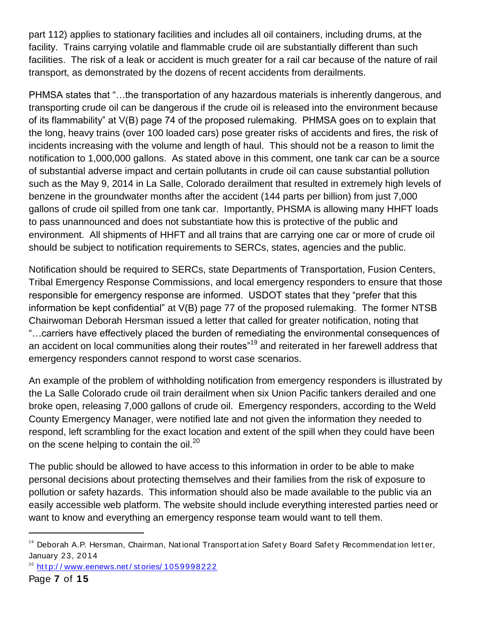part 112) applies to stationary facilities and includes all oil containers, including drums, at the facility. Trains carrying volatile and flammable crude oil are substantially different than such facilities. The risk of a leak or accident is much greater for a rail car because of the nature of rail transport, as demonstrated by the dozens of recent accidents from derailments.

PHMSA states that "…the transportation of any hazardous materials is inherently dangerous, and transporting crude oil can be dangerous if the crude oil is released into the environment because of its flammability" at V(B) page 74 of the proposed rulemaking. PHMSA goes on to explain that the long, heavy trains (over 100 loaded cars) pose greater risks of accidents and fires, the risk of incidents increasing with the volume and length of haul. This should not be a reason to limit the notification to 1,000,000 gallons. As stated above in this comment, one tank car can be a source of substantial adverse impact and certain pollutants in crude oil can cause substantial pollution such as the May 9, 2014 in La Salle, Colorado derailment that resulted in extremely high levels of benzene in the groundwater months after the accident (144 parts per billion) from just 7,000 gallons of crude oil spilled from one tank car. Importantly, PHSMA is allowing many HHFT loads to pass unannounced and does not substantiate how this is protective of the public and environment. All shipments of HHFT and all trains that are carrying one car or more of crude oil should be subject to notification requirements to SERCs, states, agencies and the public.

Notification should be required to SERCs, state Departments of Transportation, Fusion Centers, Tribal Emergency Response Commissions, and local emergency responders to ensure that those responsible for emergency response are informed. USDOT states that they "prefer that this information be kept confidential" at V(B) page 77 of the proposed rulemaking. The former NTSB Chairwoman Deborah Hersman issued a letter that called for greater notification, noting that "…carriers have effectively placed the burden of remediating the environmental consequences of an accident on local communities along their routes"<sup>19</sup> and reiterated in her farewell address that emergency responders cannot respond to worst case scenarios.

An example of the problem of withholding notification from emergency responders is illustrated by the La Salle Colorado crude oil train derailment when six Union Pacific tankers derailed and one broke open, releasing 7,000 gallons of crude oil. Emergency responders, according to the Weld County Emergency Manager, were notified late and not given the information they needed to respond, left scrambling for the exact location and extent of the spill when they could have been on the scene helping to contain the oil.<sup>20</sup>

The public should be allowed to have access to this information in order to be able to make personal decisions about protecting themselves and their families from the risk of exposure to pollution or safety hazards. This information should also be made available to the public via an easily accessible web platform. The website should include everything interested parties need or want to know and everything an emergency response team would want to tell them.

<sup>&</sup>lt;sup>19</sup> Deborah A.P. Hersman, Chairman, National Transportation Safety Board Safety Recommendation letter, January 23, 2014

 $20$  http://www.eenews.net/stories/1059998222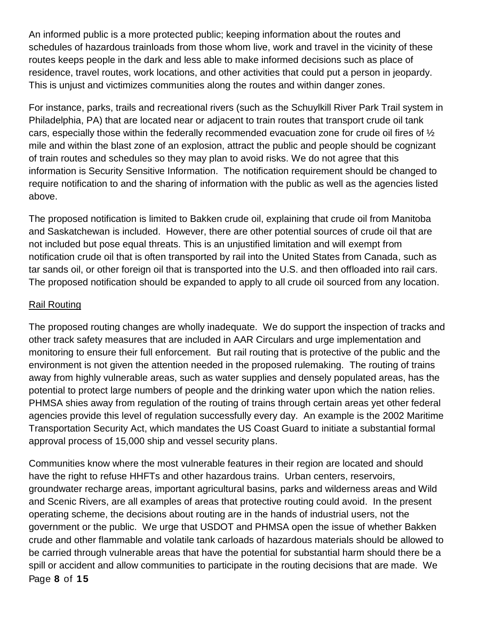An informed public is a more protected public; keeping information about the routes and schedules of hazardous trainloads from those whom live, work and travel in the vicinity of these routes keeps people in the dark and less able to make informed decisions such as place of residence, travel routes, work locations, and other activities that could put a person in jeopardy. This is unjust and victimizes communities along the routes and within danger zones.

For instance, parks, trails and recreational rivers (such as the Schuylkill River Park Trail system in Philadelphia, PA) that are located near or adjacent to train routes that transport crude oil tank cars, especially those within the federally recommended evacuation zone for crude oil fires of ½ mile and within the blast zone of an explosion, attract the public and people should be cognizant of train routes and schedules so they may plan to avoid risks. We do not agree that this information is Security Sensitive Information. The notification requirement should be changed to require notification to and the sharing of information with the public as well as the agencies listed above.

The proposed notification is limited to Bakken crude oil, explaining that crude oil from Manitoba and Saskatchewan is included. However, there are other potential sources of crude oil that are not included but pose equal threats. This is an unjustified limitation and will exempt from notification crude oil that is often transported by rail into the United States from Canada, such as tar sands oil, or other foreign oil that is transported into the U.S. and then offloaded into rail cars. The proposed notification should be expanded to apply to all crude oil sourced from any location.

#### Rail Routing

The proposed routing changes are wholly inadequate. We do support the inspection of tracks and other track safety measures that are included in AAR Circulars and urge implementation and monitoring to ensure their full enforcement. But rail routing that is protective of the public and the environment is not given the attention needed in the proposed rulemaking. The routing of trains away from highly vulnerable areas, such as water supplies and densely populated areas, has the potential to protect large numbers of people and the drinking water upon which the nation relies. PHMSA shies away from regulation of the routing of trains through certain areas yet other federal agencies provide this level of regulation successfully every day. An example is the 2002 Maritime Transportation Security Act, which mandates the US Coast Guard to initiate a substantial formal approval process of 15,000 ship and vessel security plans.

Page **8** of **15** Communities know where the most vulnerable features in their region are located and should have the right to refuse HHFTs and other hazardous trains. Urban centers, reservoirs, groundwater recharge areas, important agricultural basins, parks and wilderness areas and Wild and Scenic Rivers, are all examples of areas that protective routing could avoid. In the present operating scheme, the decisions about routing are in the hands of industrial users, not the government or the public. We urge that USDOT and PHMSA open the issue of whether Bakken crude and other flammable and volatile tank carloads of hazardous materials should be allowed to be carried through vulnerable areas that have the potential for substantial harm should there be a spill or accident and allow communities to participate in the routing decisions that are made. We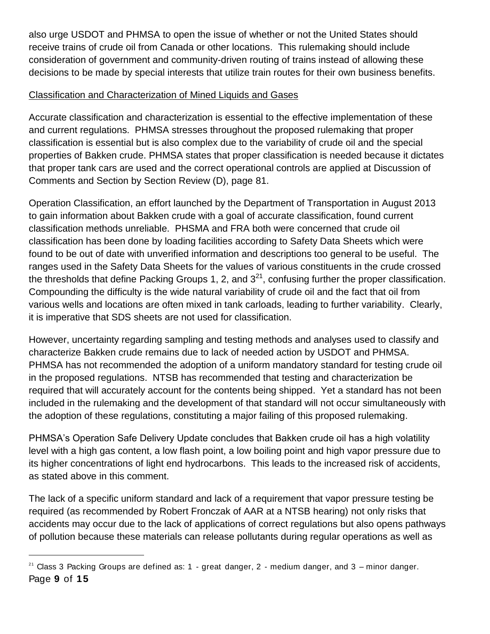also urge USDOT and PHMSA to open the issue of whether or not the United States should receive trains of crude oil from Canada or other locations. This rulemaking should include consideration of government and community-driven routing of trains instead of allowing these decisions to be made by special interests that utilize train routes for their own business benefits.

# Classification and Characterization of Mined Liquids and Gases

Accurate classification and characterization is essential to the effective implementation of these and current regulations. PHMSA stresses throughout the proposed rulemaking that proper classification is essential but is also complex due to the variability of crude oil and the special properties of Bakken crude. PHMSA states that proper classification is needed because it dictates that proper tank cars are used and the correct operational controls are applied at Discussion of Comments and Section by Section Review (D), page 81.

Operation Classification, an effort launched by the Department of Transportation in August 2013 to gain information about Bakken crude with a goal of accurate classification, found current classification methods unreliable. PHSMA and FRA both were concerned that crude oil classification has been done by loading facilities according to Safety Data Sheets which were found to be out of date with unverified information and descriptions too general to be useful. The ranges used in the Safety Data Sheets for the values of various constituents in the crude crossed the thresholds that define Packing Groups 1, 2, and  $3<sup>21</sup>$ , confusing further the proper classification. Compounding the difficulty is the wide natural variability of crude oil and the fact that oil from various wells and locations are often mixed in tank carloads, leading to further variability. Clearly, it is imperative that SDS sheets are not used for classification.

However, uncertainty regarding sampling and testing methods and analyses used to classify and characterize Bakken crude remains due to lack of needed action by USDOT and PHMSA. PHMSA has not recommended the adoption of a uniform mandatory standard for testing crude oil in the proposed regulations. NTSB has recommended that testing and characterization be required that will accurately account for the contents being shipped. Yet a standard has not been included in the rulemaking and the development of that standard will not occur simultaneously with the adoption of these regulations, constituting a major failing of this proposed rulemaking.

PHMSA's Operation Safe Delivery Update concludes that Bakken crude oil has a high volatility level with a high gas content, a low flash point, a low boiling point and high vapor pressure due to its higher concentrations of light end hydrocarbons. This leads to the increased risk of accidents, as stated above in this comment.

The lack of a specific uniform standard and lack of a requirement that vapor pressure testing be required (as recommended by Robert Fronczak of AAR at a NTSB hearing) not only risks that accidents may occur due to the lack of applications of correct regulations but also opens pathways of pollution because these materials can release pollutants during regular operations as well as

Page **9** of **15**  $21$  Class 3 Packing Groups are defined as: 1 - great danger, 2 - medium danger, and 3 – minor danger.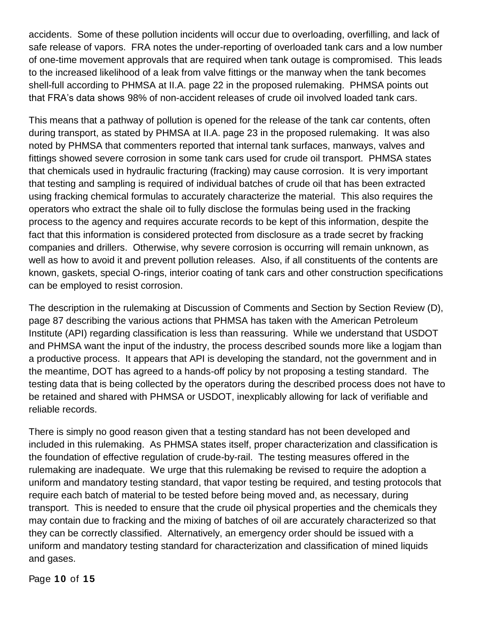accidents. Some of these pollution incidents will occur due to overloading, overfilling, and lack of safe release of vapors. FRA notes the under-reporting of overloaded tank cars and a low number of one-time movement approvals that are required when tank outage is compromised. This leads to the increased likelihood of a leak from valve fittings or the manway when the tank becomes shell-full according to PHMSA at II.A. page 22 in the proposed rulemaking. PHMSA points out that FRA's data shows 98% of non-accident releases of crude oil involved loaded tank cars.

This means that a pathway of pollution is opened for the release of the tank car contents, often during transport, as stated by PHMSA at II.A. page 23 in the proposed rulemaking. It was also noted by PHMSA that commenters reported that internal tank surfaces, manways, valves and fittings showed severe corrosion in some tank cars used for crude oil transport. PHMSA states that chemicals used in hydraulic fracturing (fracking) may cause corrosion. It is very important that testing and sampling is required of individual batches of crude oil that has been extracted using fracking chemical formulas to accurately characterize the material. This also requires the operators who extract the shale oil to fully disclose the formulas being used in the fracking process to the agency and requires accurate records to be kept of this information, despite the fact that this information is considered protected from disclosure as a trade secret by fracking companies and drillers. Otherwise, why severe corrosion is occurring will remain unknown, as well as how to avoid it and prevent pollution releases. Also, if all constituents of the contents are known, gaskets, special O-rings, interior coating of tank cars and other construction specifications can be employed to resist corrosion.

The description in the rulemaking at Discussion of Comments and Section by Section Review (D), page 87 describing the various actions that PHMSA has taken with the American Petroleum Institute (API) regarding classification is less than reassuring. While we understand that USDOT and PHMSA want the input of the industry, the process described sounds more like a logjam than a productive process. It appears that API is developing the standard, not the government and in the meantime, DOT has agreed to a hands-off policy by not proposing a testing standard. The testing data that is being collected by the operators during the described process does not have to be retained and shared with PHMSA or USDOT, inexplicably allowing for lack of verifiable and reliable records.

There is simply no good reason given that a testing standard has not been developed and included in this rulemaking. As PHMSA states itself, proper characterization and classification is the foundation of effective regulation of crude-by-rail. The testing measures offered in the rulemaking are inadequate. We urge that this rulemaking be revised to require the adoption a uniform and mandatory testing standard, that vapor testing be required, and testing protocols that require each batch of material to be tested before being moved and, as necessary, during transport. This is needed to ensure that the crude oil physical properties and the chemicals they may contain due to fracking and the mixing of batches of oil are accurately characterized so that they can be correctly classified. Alternatively, an emergency order should be issued with a uniform and mandatory testing standard for characterization and classification of mined liquids and gases.

Page **10** of **15**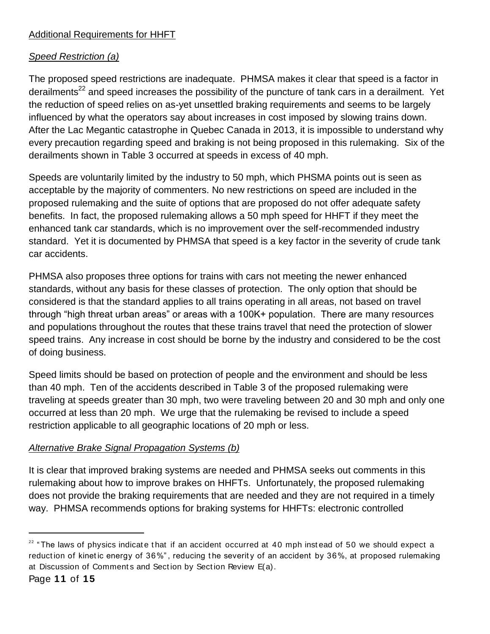# Additional Requirements for HHFT

# *Speed Restriction (a)*

The proposed speed restrictions are inadequate. PHMSA makes it clear that speed is a factor in derailments<sup>22</sup> and speed increases the possibility of the puncture of tank cars in a derailment. Yet the reduction of speed relies on as-yet unsettled braking requirements and seems to be largely influenced by what the operators say about increases in cost imposed by slowing trains down. After the Lac Megantic catastrophe in Quebec Canada in 2013, it is impossible to understand why every precaution regarding speed and braking is not being proposed in this rulemaking. Six of the derailments shown in Table 3 occurred at speeds in excess of 40 mph.

Speeds are voluntarily limited by the industry to 50 mph, which PHSMA points out is seen as acceptable by the majority of commenters. No new restrictions on speed are included in the proposed rulemaking and the suite of options that are proposed do not offer adequate safety benefits. In fact, the proposed rulemaking allows a 50 mph speed for HHFT if they meet the enhanced tank car standards, which is no improvement over the self-recommended industry standard. Yet it is documented by PHMSA that speed is a key factor in the severity of crude tank car accidents.

PHMSA also proposes three options for trains with cars not meeting the newer enhanced standards, without any basis for these classes of protection. The only option that should be considered is that the standard applies to all trains operating in all areas, not based on travel through "high threat urban areas" or areas with a 100K+ population. There are many resources and populations throughout the routes that these trains travel that need the protection of slower speed trains. Any increase in cost should be borne by the industry and considered to be the cost of doing business.

Speed limits should be based on protection of people and the environment and should be less than 40 mph. Ten of the accidents described in Table 3 of the proposed rulemaking were traveling at speeds greater than 30 mph, two were traveling between 20 and 30 mph and only one occurred at less than 20 mph. We urge that the rulemaking be revised to include a speed restriction applicable to all geographic locations of 20 mph or less.

# *Alternative Brake Signal Propagation Systems (b)*

It is clear that improved braking systems are needed and PHMSA seeks out comments in this rulemaking about how to improve brakes on HHFTs. Unfortunately, the proposed rulemaking does not provide the braking requirements that are needed and they are not required in a timely way. PHMSA recommends options for braking systems for HHFTs: electronic controlled

 $22$  "The laws of physics indicate that if an accident occurred at 40 mph instead of 50 we should expect a reduction of kinetic energy of 36%", reducing the severity of an accident by 36%, at proposed rulemaking at Discussion of Comments and Section by Section Review E(a).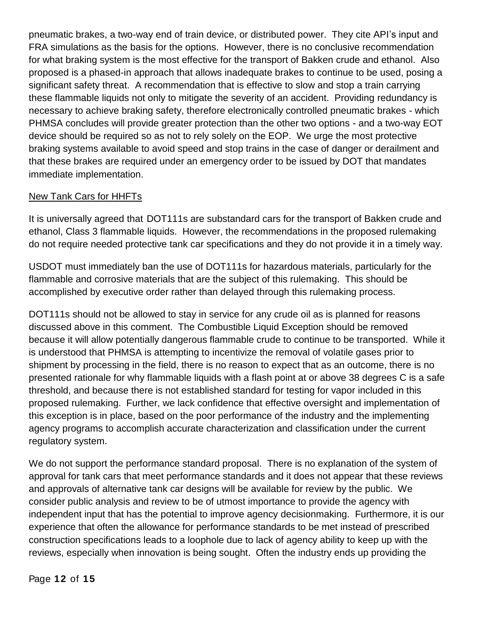pneumatic brakes, a two-way end of train device, or distributed power. They cite API's input and FRA simulations as the basis for the options. However, there is no conclusive recommendation for what braking system is the most effective for the transport of Bakken crude and ethanol. Also proposed is a phased-in approach that allows inadequate brakes to continue to be used, posing a significant safety threat. A recommendation that is effective to slow and stop a train carrying these flammable liquids not only to mitigate the severity of an accident. Providing redundancy is necessary to achieve braking safety, therefore electronically controlled pneumatic brakes - which PHMSA concludes will provide greater protection than the other two options - and a two-way EOT device should be required so as not to rely solely on the EOP. We urge the most protective braking systems available to avoid speed and stop trains in the case of danger or derailment and that these brakes are required under an emergency order to be issued by DOT that mandates immediate implementation.

### New Tank Cars for HHFTs

It is universally agreed that DOT111s are substandard cars for the transport of Bakken crude and ethanol, Class 3 flammable liquids. However, the recommendations in the proposed rulemaking do not require needed protective tank car specifications and they do not provide it in a timely way.

USDOT must immediately ban the use of DOT111s for hazardous materials, particularly for the flammable and corrosive materials that are the subject of this rulemaking. This should be accomplished by executive order rather than delayed through this rulemaking process.

DOT111s should not be allowed to stay in service for any crude oil as is planned for reasons discussed above in this comment. The Combustible Liquid Exception should be removed because it will allow potentially dangerous flammable crude to continue to be transported. While it is understood that PHMSA is attempting to incentivize the removal of volatile gases prior to shipment by processing in the field, there is no reason to expect that as an outcome, there is no presented rationale for why flammable liquids with a flash point at or above 38 degrees C is a safe threshold, and because there is not established standard for testing for vapor included in this proposed rulemaking. Further, we lack confidence that effective oversight and implementation of this exception is in place, based on the poor performance of the industry and the implementing agency programs to accomplish accurate characterization and classification under the current regulatory system.

We do not support the performance standard proposal. There is no explanation of the system of approval for tank cars that meet performance standards and it does not appear that these reviews and approvals of alternative tank car designs will be available for review by the public. We consider public analysis and review to be of utmost importance to provide the agency with independent input that has the potential to improve agency decisionmaking. Furthermore, it is our experience that often the allowance for performance standards to be met instead of prescribed construction specifications leads to a loophole due to lack of agency ability to keep up with the reviews, especially when innovation is being sought. Often the industry ends up providing the

Page **12** of **15**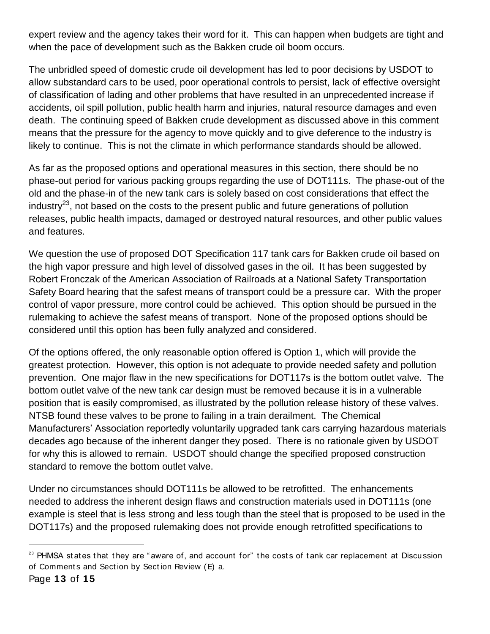expert review and the agency takes their word for it. This can happen when budgets are tight and when the pace of development such as the Bakken crude oil boom occurs.

The unbridled speed of domestic crude oil development has led to poor decisions by USDOT to allow substandard cars to be used, poor operational controls to persist, lack of effective oversight of classification of lading and other problems that have resulted in an unprecedented increase if accidents, oil spill pollution, public health harm and injuries, natural resource damages and even death. The continuing speed of Bakken crude development as discussed above in this comment means that the pressure for the agency to move quickly and to give deference to the industry is likely to continue. This is not the climate in which performance standards should be allowed.

As far as the proposed options and operational measures in this section, there should be no phase-out period for various packing groups regarding the use of DOT111s. The phase-out of the old and the phase-in of the new tank cars is solely based on cost considerations that effect the industry<sup>23</sup>, not based on the costs to the present public and future generations of pollution releases, public health impacts, damaged or destroyed natural resources, and other public values and features.

We question the use of proposed DOT Specification 117 tank cars for Bakken crude oil based on the high vapor pressure and high level of dissolved gases in the oil. It has been suggested by Robert Fronczak of the American Association of Railroads at a National Safety Transportation Safety Board hearing that the safest means of transport could be a pressure car. With the proper control of vapor pressure, more control could be achieved. This option should be pursued in the rulemaking to achieve the safest means of transport. None of the proposed options should be considered until this option has been fully analyzed and considered.

Of the options offered, the only reasonable option offered is Option 1, which will provide the greatest protection. However, this option is not adequate to provide needed safety and pollution prevention. One major flaw in the new specifications for DOT117s is the bottom outlet valve. The bottom outlet valve of the new tank car design must be removed because it is in a vulnerable position that is easily compromised, as illustrated by the pollution release history of these valves. NTSB found these valves to be prone to failing in a train derailment. The Chemical Manufacturers' Association reportedly voluntarily upgraded tank cars carrying hazardous materials decades ago because of the inherent danger they posed. There is no rationale given by USDOT for why this is allowed to remain. USDOT should change the specified proposed construction standard to remove the bottom outlet valve.

Under no circumstances should DOT111s be allowed to be retrofitted. The enhancements needed to address the inherent design flaws and construction materials used in DOT111s (one example is steel that is less strong and less tough than the steel that is proposed to be used in the DOT117s) and the proposed rulemaking does not provide enough retrofitted specifications to

l

 $23$  PHMSA states that they are "aware of, and account for" the costs of tank car replacement at Discussion of Comment s and Sect ion by Sect ion Review (E) a.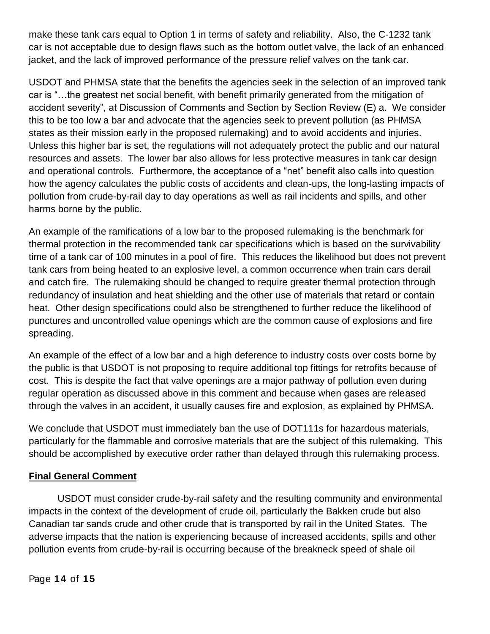make these tank cars equal to Option 1 in terms of safety and reliability. Also, the C-1232 tank car is not acceptable due to design flaws such as the bottom outlet valve, the lack of an enhanced jacket, and the lack of improved performance of the pressure relief valves on the tank car.

USDOT and PHMSA state that the benefits the agencies seek in the selection of an improved tank car is "…the greatest net social benefit, with benefit primarily generated from the mitigation of accident severity", at Discussion of Comments and Section by Section Review (E) a. We consider this to be too low a bar and advocate that the agencies seek to prevent pollution (as PHMSA states as their mission early in the proposed rulemaking) and to avoid accidents and injuries. Unless this higher bar is set, the regulations will not adequately protect the public and our natural resources and assets. The lower bar also allows for less protective measures in tank car design and operational controls. Furthermore, the acceptance of a "net" benefit also calls into question how the agency calculates the public costs of accidents and clean-ups, the long-lasting impacts of pollution from crude-by-rail day to day operations as well as rail incidents and spills, and other harms borne by the public.

An example of the ramifications of a low bar to the proposed rulemaking is the benchmark for thermal protection in the recommended tank car specifications which is based on the survivability time of a tank car of 100 minutes in a pool of fire. This reduces the likelihood but does not prevent tank cars from being heated to an explosive level, a common occurrence when train cars derail and catch fire. The rulemaking should be changed to require greater thermal protection through redundancy of insulation and heat shielding and the other use of materials that retard or contain heat. Other design specifications could also be strengthened to further reduce the likelihood of punctures and uncontrolled value openings which are the common cause of explosions and fire spreading.

An example of the effect of a low bar and a high deference to industry costs over costs borne by the public is that USDOT is not proposing to require additional top fittings for retrofits because of cost. This is despite the fact that valve openings are a major pathway of pollution even during regular operation as discussed above in this comment and because when gases are released through the valves in an accident, it usually causes fire and explosion, as explained by PHMSA.

We conclude that USDOT must immediately ban the use of DOT111s for hazardous materials, particularly for the flammable and corrosive materials that are the subject of this rulemaking. This should be accomplished by executive order rather than delayed through this rulemaking process.

### **Final General Comment**

USDOT must consider crude-by-rail safety and the resulting community and environmental impacts in the context of the development of crude oil, particularly the Bakken crude but also Canadian tar sands crude and other crude that is transported by rail in the United States. The adverse impacts that the nation is experiencing because of increased accidents, spills and other pollution events from crude-by-rail is occurring because of the breakneck speed of shale oil